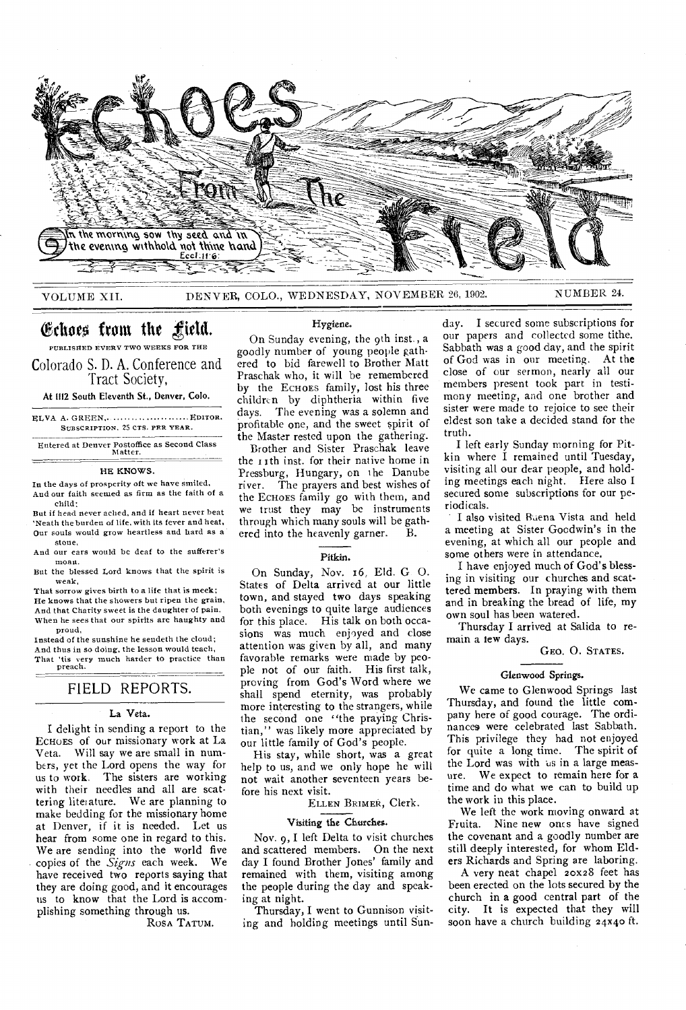

# Echoes from the field. PUBLISHED EVERY TWO WEEKS FOR THE

Colorado S. D. A. Conference and Tract Society,

At 1112 South Eleventh St., Denver, Colo.

ELVA A. GREEN, .............................. EDITOR. SUBSCRIPTION. 25 CTS. PER YEAR.

Entered at Denver Postoffice as Second Class Matter.

### HE KNOWS.

In the days of prosperity oft we have smiled, Aud our faith seemed as firm as the faith of a child;

But if head never ached, and if heart never beat 'Neath the burden of life, with its fever and heat, Our souls would grow heartless and hard as a stone,

And our ears would be deaf to the sufferer's moan.

But the blessed Lord knows that the spirit is weak,

That sorrow gives birth to a life that is meek; He knows that the showers but ripen the grain, And that Charity sweet is the daughter of pain. When he sees that our spirits are haughty and proud,

Instead of the sunshine he seudeth the cloud; And thus in so doing, the lesson would teach, That 'tis very much harder to practice than preach.

# FIELD REPORTS.

## La Veta.

I delight in sending a report to the ECHOES of our missionary work at La Veta. Will say we are small in numbers, yet the Lord opens the way for us to work. The sisters are working with their needles and all are scattering literature. We are planning to make bedding for the missionary home at Denver, if it is needed. Let us hear from some one in regard to this. We are sending into the world five<br>copies of the *Signs* each week. We copies of the *Signs* each week. have received two reports saying that they are doing good, and it encourages us to know that the Lord is accomplishing something through us.

ROSA TATUM.

### Hygiene.

On Sunday evening, the 9th inst., a goodly number of young people gathered to bid farewell to Brother Matt Praschak who, it will be remembered by the ECHOES family, lost his three children by diphtheria within five days. The evening was a solemn and profitable one, and the sweet spirit of the Master rested upon the gathering.

Brother and Sister Praschak leave the r Ith inst. for their native home in Pressburg, Hungary, on the Danube river. The prayers and best wishes of the ECHOES family go with them, and *we* trust they may be instruments through which many souls will be gathered into the heavenly garner.

### Pitkin.

On Sunday, Nov. 16, Eld. G. O. States of Delta arrived at our little town, and stayed two days speaking both evenings to quite large audiences for this place. His talk on both occasions was much enjoyed and close attention was given by all, and many favorable remarks were made by people not of our faith. His first talk, proving from God's Word where we shall spend eternity, was probably more interesting to the strangers, while the second one "the praying Christian," was likely more appreciated by our little family of God's people.

His stay, while short, was a great help to us, and we only hope he will not wait another seventeen years before his next visit.

ELLEN BRIMER, Clerk.

# Visiting the Churches.

Nov. 9, I left Delta to visit churches and scattered members. On the next day I found Brother Jones' family and remained with them, visiting among the people during the day and speaking at night.

Thursday, I went to Gunnison visiting and holding meetings until Sunday. I secured some subscriptions for our papers and collected some tithe. Sabbath was a good day, and the spirit of God was in our meeting. At the close of our sermon, nearly all our members present took part in testimony meeting, and one brother and sister were made to rejoice to see their eldest son take a decided stand for the truth.

I left early Sunday morning for Pitkin where I remained until Tuesday, visiting all our dear people, and holding meetings each night. Here also I secured some subscriptions for our period icals.

I also visited Buena Vista and held a meeting at Sister Goodwin's in the evening, at which all our people and some others were in attendance.

I have enjoyed much of God's blessing in visiting our churches and scattered members. In praying with them and in breaking the bread of life, my own soul has been watered.

Thursday I arrived at Salida to remain a few days.

GEO. 0. STATES.

#### Glenwood Springs.

We came to Glenwood Springs last Thursday, and found the little company here of good courage. The ordinances were celebrated last Sabbath. This privilege they had not enjoyed for quite a long time. The spirit of the Lord was with us in a large measure. We expect to remain here for a time and do what we can to build up the work in this place.

We left the work moving onward at Fruita. Nine new ones have signed the covenant and a goodly number are still deeply interested, for whom Elders Richards and Spring are laboring.

A very neat chapel 20x28 feet has been erected on the lots secured by the church in a good central part of the city. It is expected that they will soon have a church building 24x40 ft.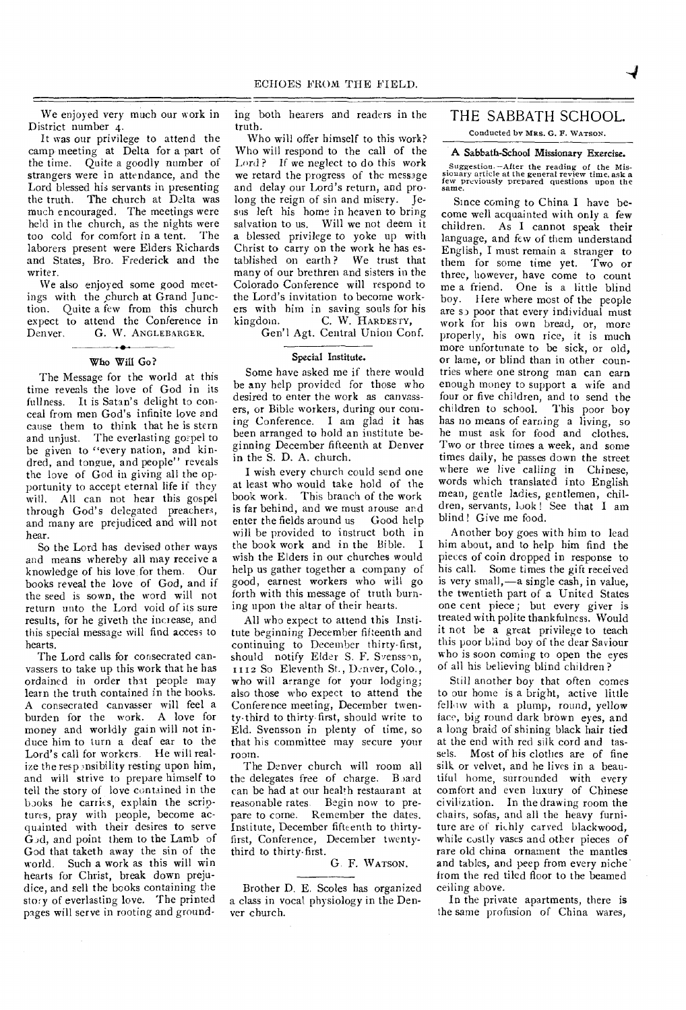We enjoyed very much our work in District number 4.

It was our privilege to attend the camp meeting at Delta for a part of the time. Quite a goodly number of strangers were in attendance, and the Lord blessed his servants in presenting the truth. The church at Delta was much encouraged. The meetings were held in the church, as the nights were too cold for comfort in a tent. The laborers present were Elders Richards and States, Bro. Frederick and the writer.

We also enjoyed some good meetings with the church at Grand Junction. Quite a few from this church expect to attend the Conference in<br>Denver. G. W. ANGLEBARGER. G. W. ANGLEBARGER.

## - Who Will Go?

The Message for the world at this time reveals the love of God in its fullness. It is Satan's delight to conceal from men God's infinite love and cause them to think that he is stern and unjust. The everlasting gospel to be given to "every nation, and kindred, and tongue, and people" reveals the love of God in giving all the opportunity to accept eternal life if they will. All can not hear this gospel through God's delegated preachers, and many are prejudiced and will not hear.

So the Lord has devised other ways and means whereby all may receive a knowledge of his love for them. Our books reveal the love of God, and if the seed is sown, the word will not return unto the Lord void of its sure results, for he giveth the increase, and this special message will find access to hearts.

The Lord calls for consecrated canvassers to take up this work that he has ordained in order that people may learn the truth contained in the hooks. A consecrated canvasser will feel a burden for the work. A love for money and worldly gain will not induce him to turn a deaf ear to the Lord's call for workers. He will realize the responsibility resting upon him, and will strive to prepare himself to tell the story of love contained in the books he carries, explain the scriptures, pray with people, become acquainted with their desires to serve  $\dot{G}$  and point them to the Lamb of God that taketh away the sin of the world. Such a work as this will win hearts for Christ, break down prejudice, and sell the books containing the story of everlasting love. The printed pages will serve in rooting and grounding both hearers and readers in the truth.

Who will offer himself to this work? Who will respond to the call of the Lord? If we neglect to do this work we retard the progress of the message and delay our Lord's return, and prolong the reign of sin and misery. Jesus left his home in heaven to bring salvation to us. Will we not deem it a blessed privilege to yoke up with Christ to carry on the work he has established on earth ? We trust that many of our brethren and sisters in the Colorado Conference will respond to the Lord's invitation to become workers with him in saving souls for his kingdom. C. W. HARDESTY,

Gen'l Agt. Central Union Conf.

### Special Institute.

Some have asked me if there would be any help provided for those who desired to enter the work as canvassers, or Bible workers, during our coming Conference. I am glad it has been arranged to hold an institute beginning December fifteenth at Denver in the S. D. A. church.

I wish every church could send one at least who would take hold of the book work. This branch of the work is far behind, and we must arouse and enter the fields around us Good help will be provided to instruct both in the book work and in the Bible. I wish the Elders in our churches would help us gather together a company of good, earnest workers who will go forth with this message of truth burning upon the altar of their hearts.

All who expect to attend this Institute beginning December fifteenth and continuing to December thirty-first, should notify Elder S. F. Svensson, 1112 So Eleventh St., Denver, Colo., who will arrange for your lodging; also those who expect to attend the Conference meeting, December twenty-third to thirty first, should write to Eld. Svensson in plenty of time, so that his committee may secure your room.

The Denver church will room all the delegates free of charge. Board can be had at our health restaurant at reasonable rates. Begin now to prepare to come. Remember the dates. Institute, December fifteenth to thirtyfirst, Conference, December twentythird to thirty-first.

## G. F. WATSON.

Brother D. E. Scoles has organized a class in vocal physiology in the Denver church.

# THE SABBATH SCHOOL.

Conducted by MRS. G. F. WATSON.

## A Sabbath-School Missionary Exercise.

Suggestion. —After the reading of the Mis-sionary article at the general review time, ask a few previously prepared questions upon the same.

Since coming to China I have become well acquainted with only a few children. As I cannot speak their language, and few of them understand English, I must remain a stranger to them for some time yet. Two or three, however, have come to count me a friend. One is a little blind boy. Here where most of the people are s<sub>2</sub> poor that every individual must work for his own bread, or, more properly, his own rice, it is much more unfortunate to be sick, or old, or lame, or blind than in other countries where one strong man can earn enough money to support a wife and four or five children, and to send the children to school. This poor boy has no means of earning a living, so he must ask for food and clothes. Two or three times a week, and some times daily, he passes down the street where we live calling in Chinese, words which translated into English mean, gentle ladies, gentlemen, children, servants, look ! See that I am blind! Give me food.

Another boy goes with him to lead him about, and to help him find the pieces of coin dropped in response to his call. Some times the gift received is very small,—a single cash, in value, the twentieth part of a United States one cent piece; but every giver is treated with polite thankfulness. Would it not be a great privilege to teach this poor blind boy of the dear Saviour who is soon coming to open the eyes of all his believing blind children ?

Still another boy that often comes to our home is a bright, active little fellow with a plump, round, yellow face, big round dark brown eyes, and a long braid of shining black hair tied at the end with red silk cord and tassels. Most of his clothes are of fine silk or velvet, and he lives in a beautiful home, surrounded with every comfort and even luxury of Chinese civilization. In the drawing room the chairs, sofas, and all the heavy furniture are of richly carved blackwood, while costly vases and other pieces of rare old china ornament the mantles and tables, and peep from every niche<sup>-</sup> from the red tiled floor to the beamed ceiling above.

In the private apartments, there is the same profusion of China wares,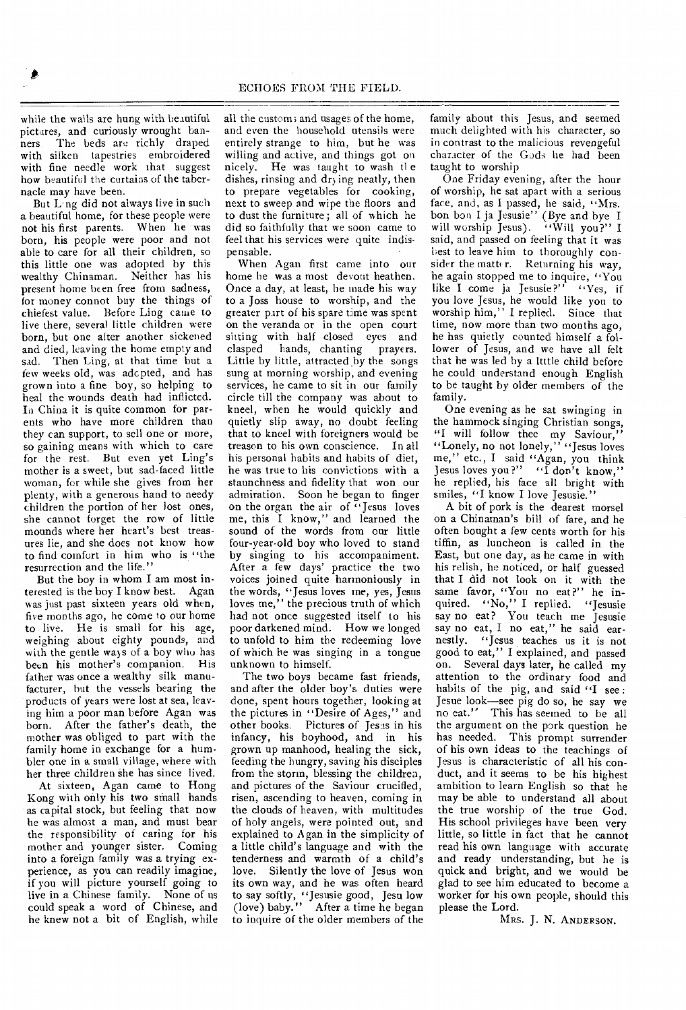while the walls are hung with beautiful pictures, and curiously wrought banners The beds are richly draped with silken tapestries embroidered with fine needle work that suggest how beautiful the curtains of the tabernacle may have been.

But Ling did not always live in such a beautiful home, for these people were not his first parents. When he was born, his people were poor and not able to care for all their children, so this little one was adopted by this wealthy Chinaman. Neither has his present home been free from sadness, for money connot buy the things of chiefest value. Before Ling came to live there, several little children were born, but one after another sickened and died, leaving the home empty and sad. Then Ling, at that time but a few weeks old, was adcpted, and has grown into a fine boy, so helping to heal the wounds death had inflicted. Ia China it is quite common for parents who have more children than they can support, to sell one or more, so gaining means with which to care for the rest. But even yet Ling's mother is a sweet, but sad-faced little woman, for while she gives from her plenty, with a generous hand to needy children the portion of her lost ones, she cannot forget the row of little mounds where her heart's best treasures lie, and she does not know how to find comfort in him who is "the resurrection and the life."

But the boy in whom I am most interested is the boy I know best. Agan was just past sixteen years old when, five months ago, he come to our home to live. He is small for his age, weighing about eighty pounds, and with the gentle ways of a boy who has been his mother's companion. His father was once a wealthy silk manufacturer, but the vessels bearing the products of years were lost at sea, leaving him a poor man before Agan was born. After the father's death, the mother was obliged to part with the family home in exchange for a humbler one in a small village, where with her three children she has since lived.

At sixteen, Agan came to Hong Kong with only his two small hands as capital stock, but feeling that now he was almoat a man, and must bear the responsibility of caring for his mother and younger sister. Coming into a foreign family was a trying experience, as you can readily imagine, if you will picture yourself going to live in a Chinese family. None of us could speak a word of Chinese, and he knew not a bit of English, while

all the custom; and usages of the home, and even the household utensils were entirely strange to him, but he was willing and active, and things got on nicely. He was taught to wash the dishes, rinsing and drying neatly, then to prepare vegetables for cooking, next to sweep and wipe the floors and to dust the furniture; all of which he did so faithfully that we soon came to feel that his services were quite indispensable.

When Agan first came into our home he was a most devout heathen. Once a day, at least, he made his way to a Joss house to worship, and the greater part of his spare time was spent on the veranda or in the open court sitting with half closed eyes and clasped hands, chanting prayers. Little by little, attracted by the songs sung at morning worship, and evening services, he came to sit in our family circle till the company was about to kneel, when he would quickly and quietly slip away, no doubt feeling that to kneel with foreigners would be treason to his own conscience. In all his personal habits and habits of diet, he was true to his convictions with a staunchness and fidelity that won our admiration. Soon he began to finger on the organ the air of "Jesus loves me, this I know," and learned the sound of the words from our little four-year-old boy who loved to stand by singing to his accompaniment. After a few days' practice the two voices joined quite harmoniously in the words, "Jesus loves me, yes, Jesus loves me," the precious truth of which had not once suggested itself to his poor darkened mind. How we longed to unfold to him the redeeming love of which he was singing in a tongue unknown to himself.

The two boys became fast friends, and after the older boy's duties were done, spent hours together, looking at the pictures in "Desire of Ages," and other books. Pictures of Jesus in his infancy, his boyhood, and in his grown up manhood, healing the sick, feeding the hungry, saving his disciples from the storm, blessing the children, and pictures of the Saviour crucified, risen, ascending to heaven, coming in the clouds of heaven, with multitudes of holy angels, were pointed out, and explained to Agan in the simplicity of a little child's language and with the tenderness and warmth of a child's love. Silently the love of Jesus won its own way, and he was often heard to say softly, "Jesusie good, Jesu low (love) baby." After a time he began to inquire of the older members of the

family about this Jesus, and seemed much delighted with his character, so in contrast to the malicious revengeful character of the Gods he had been taught to worship

One Friday evening, after the hour of worship, he sat apart with a serious face, and, as I passed, he said, "Mrs. bon bon I ja Jesusie" (Bye and bye I will worship Jesus). "Will you?" I said, and passed on feeling that it was best to leave him to thoroughly consider the matter. Returning his way, he again stopped me to inquire, "You like I come ja Jesusie?" "Yes, if you love Jesus, he would like you to worship him," I replied. Since that time, now more than two months ago, he has quietly counted himself a follower of Jesus, and we have all felt that he was led by a ltttle child before he could understand enough English to be taught by older members of the family.

One evening as he sat swinging in the hammock singing Christian songs, "I will follow thee my Saviour," "Lonely, no not lonely," "Jesus loves" me," etc., I said "Agan, you think Jesus loves you ?" "I don't know," he replied, his face all bright with smiles, "I know I love Jesusie."

A bit of pork is the dearest morsel on a Chinaman's bill of fare, and he often bought a few cents worth for his tiffin, as luncheon is called in the East, but one day, as he came in with his relish, he noticed, or half guessed that I did not look on it with the same favor, "You no eat?" he inquired. "No," I replied. "Jesusie say no eat? You teach me Jesusie say no eat, I no eat," he said earnestly. "Jesus teaches us it is not good to eat," I explained, and passed on. Several days later, he called my attention to the ordinary food and habits of the pig, and said "I see: Jesue look—see pig do so, he say we no eat." This has seemed to be all the argument on the pork question he has needed. This prompt surrender of his own ideas to the teachings of Jesus is characteristic of all his conduct, and it seems to be his highest ambition to learn English so that he may be able to understand all about the true worship of the true God. His school privileges have been very little, so little in fact that he cannot read his own language with accurate and ready understanding, but he is quick and bright, and we would be glad to see him educated to become a worker for his own people, should this please the Lord.

MRS. J. N. ANDERSON.